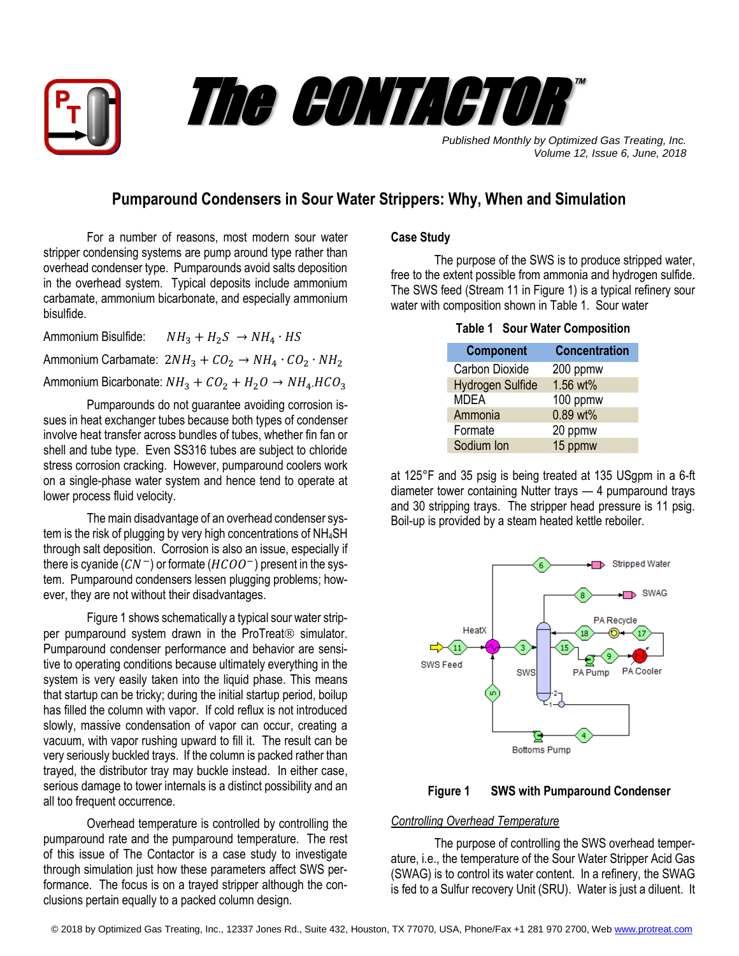



*Published Monthly by Optimized Gas Treating, Inc. Volume 12, Issue 6, June, 2018*

## **Pumparound Condensers in Sour Water Strippers: Why, When and Simulation**

For a number of reasons, most modern sour water stripper condensing systems are pump around type rather than overhead condenser type. Pumparounds avoid salts deposition in the overhead system. Typical deposits include ammonium carbamate, ammonium bicarbonate, and especially ammonium bisulfide.

Ammonium Bisulfide:  $NH_3 + H_2S \rightarrow NH_4 \cdot HS$ Ammonium Carbamate:  $2NH_3 + CO_2 \rightarrow NH_4 \cdot CO_2 \cdot NH_2$ Ammonium Bicarbonate:  $NH_3 + CO_2 + H_2O \rightarrow NH_4 HCO_3$ 

Pumparounds do not guarantee avoiding corrosion issues in heat exchanger tubes because both types of condenser involve heat transfer across bundles of tubes, whether fin fan or shell and tube type. Even SS316 tubes are subject to chloride stress corrosion cracking. However, pumparound coolers work on a single-phase water system and hence tend to operate at lower process fluid velocity.

The main disadvantage of an overhead condenser system is the risk of plugging by very high concentrations of NH<sub>4</sub>SH through salt deposition. Corrosion is also an issue, especially if there is cyanide  $(CN^{-})$  or formate  $(HCOO^{-})$  present in the system. Pumparound condensers lessen plugging problems; however, they are not without their disadvantages.

Figure 1 shows schematically a typical sour water stripper pumparound system drawn in the ProTreat<sup>®</sup> simulator. Pumparound condenser performance and behavior are sensitive to operating conditions because ultimately everything in the system is very easily taken into the liquid phase. This means that startup can be tricky; during the initial startup period, boilup has filled the column with vapor. If cold reflux is not introduced slowly, massive condensation of vapor can occur, creating a vacuum, with vapor rushing upward to fill it. The result can be very seriously buckled trays. If the column is packed rather than trayed, the distributor tray may buckle instead. In either case, serious damage to tower internals is a distinct possibility and an all too frequent occurrence.

Overhead temperature is controlled by controlling the pumparound rate and the pumparound temperature. The rest of this issue of The Contactor is a case study to investigate through simulation just how these parameters affect SWS performance. The focus is on a trayed stripper although the conclusions pertain equally to a packed column design.

## **Case Study**

The purpose of the SWS is to produce stripped water, free to the extent possible from ammonia and hydrogen sulfide. The SWS feed (Stream 11 in Figure 1) is a typical refinery sour water with composition shown in Table 1. Sour water

|  |  |  |  | <b>Table 1 Sour Water Composition</b> |
|--|--|--|--|---------------------------------------|
|--|--|--|--|---------------------------------------|

| <b>Component</b>        | <b>Concentration</b> |
|-------------------------|----------------------|
| <b>Carbon Dioxide</b>   | 200 ppmw             |
| <b>Hydrogen Sulfide</b> | 1.56 wt%             |
| <b>MDEA</b>             | 100 ppmw             |
| Ammonia                 | 0.89 wt%             |
| Formate                 | 20 ppmw              |
| Sodium Ion              | 15 ppmw              |
|                         |                      |

at 125°F and 35 psig is being treated at 135 USgpm in a 6-ft diameter tower containing Nutter trays — 4 pumparound trays and 30 stripping trays. The stripper head pressure is 11 psig. Boil-up is provided by a steam heated kettle reboiler.





## *Controlling Overhead Temperature*

The purpose of controlling the SWS overhead temperature, i.e., the temperature of the Sour Water Stripper Acid Gas (SWAG) is to control its water content. In a refinery, the SWAG is fed to a Sulfur recovery Unit (SRU). Water is just a diluent. It